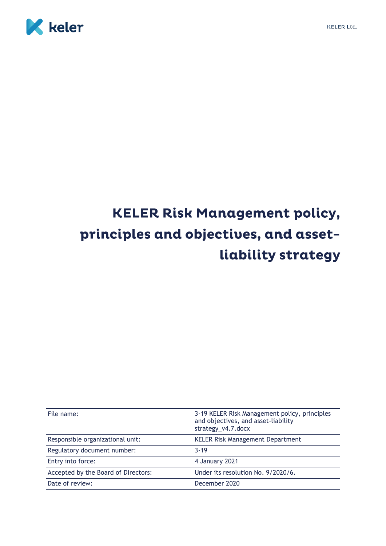



# **KELER Risk Management policy,** principles and objectives, and assetliability strategy

| File name:                          | 3-19 KELER Risk Management policy, principles<br>and objectives, and asset-liability<br>strategy_v4.7.docx |
|-------------------------------------|------------------------------------------------------------------------------------------------------------|
| Responsible organizational unit:    | <b>KELER Risk Management Department</b>                                                                    |
| Regulatory document number:         | $3 - 19$                                                                                                   |
| Entry into force:                   | 4 January 2021                                                                                             |
| Accepted by the Board of Directors: | Under its resolution No. 9/2020/6.                                                                         |
| Date of review:                     | December 2020                                                                                              |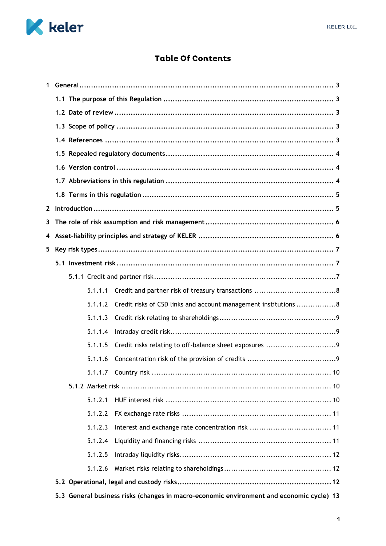

# **Table Of Contents**

| $\mathbf 1$  |                                                                                          |                                                                 |  |  |
|--------------|------------------------------------------------------------------------------------------|-----------------------------------------------------------------|--|--|
|              |                                                                                          |                                                                 |  |  |
|              |                                                                                          |                                                                 |  |  |
|              |                                                                                          |                                                                 |  |  |
|              |                                                                                          |                                                                 |  |  |
|              |                                                                                          |                                                                 |  |  |
|              |                                                                                          |                                                                 |  |  |
|              |                                                                                          |                                                                 |  |  |
|              |                                                                                          |                                                                 |  |  |
| $\mathbf{2}$ |                                                                                          |                                                                 |  |  |
| 3            |                                                                                          |                                                                 |  |  |
| 4            |                                                                                          |                                                                 |  |  |
| 5            |                                                                                          |                                                                 |  |  |
|              |                                                                                          |                                                                 |  |  |
|              |                                                                                          |                                                                 |  |  |
|              | 5.1.1.1                                                                                  |                                                                 |  |  |
|              | 5.1.1.2                                                                                  | Credit risks of CSD links and account management institutions 8 |  |  |
|              | 5.1.1.3                                                                                  |                                                                 |  |  |
|              | 5.1.1.4                                                                                  |                                                                 |  |  |
|              | 5.1.1.5                                                                                  |                                                                 |  |  |
|              | 5.1.1.6                                                                                  |                                                                 |  |  |
|              | 5.1.1.7 Country risk                                                                     | 10                                                              |  |  |
|              |                                                                                          |                                                                 |  |  |
|              | 5.1.2.1                                                                                  |                                                                 |  |  |
|              | 5.1.2.2                                                                                  |                                                                 |  |  |
|              | 5.1.2.3                                                                                  |                                                                 |  |  |
|              | 5.1.2.4                                                                                  |                                                                 |  |  |
|              | 5.1.2.5                                                                                  |                                                                 |  |  |
|              | 5.1.2.6                                                                                  |                                                                 |  |  |
|              |                                                                                          |                                                                 |  |  |
|              | 5.3 General business risks (changes in macro-economic environment and economic cycle) 13 |                                                                 |  |  |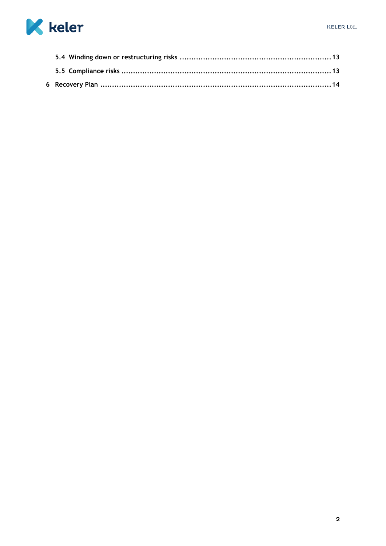

<span id="page-2-0"></span>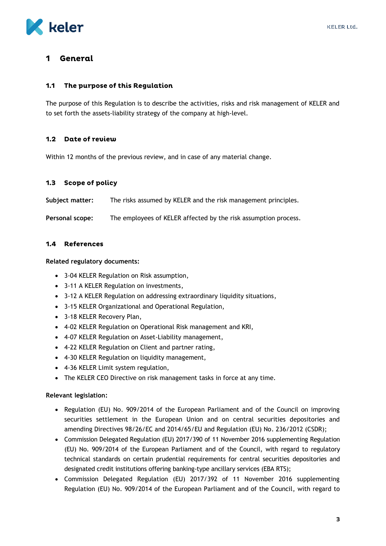

#### General 1

#### <span id="page-3-0"></span>The purpose of this Regulation  $1.1$

The purpose of this Regulation is to describe the activities, risks and risk management of KELER and to set forth the assets-liability strategy of the company at high-level.

#### <span id="page-3-1"></span> $1.2$ Date of review

Within 12 months of the previous review, and in case of any material change.

#### <span id="page-3-2"></span> $1.3$ **Scope of policy**

**Subject matter:** The risks assumed by KELER and the risk management principles.

**Personal scope:** The employees of KELER affected by the risk assumption process.

#### <span id="page-3-3"></span>1.4 References

**Related regulatory documents:**

- 3-04 KELER Regulation on Risk assumption,
- 3-11 A KELER Regulation on investments,
- 3-12 A KELER Regulation on addressing extraordinary liquidity situations,
- 3-15 KELER Organizational and Operational Regulation,
- 3-18 KELER Recovery Plan,
- 4-02 KELER Regulation on Operational Risk management and KRI,
- 4-07 KELER Regulation on Asset-Liability management,
- 4-22 KELER Regulation on Client and partner rating,
- 4-30 KELER Regulation on liquidity management,
- 4-36 KELER Limit system regulation,
- The KELER CEO Directive on risk management tasks in force at any time.

#### **Relevant legislation:**

- Regulation (EU) No. 909/2014 of the European Parliament and of the Council on improving securities settlement in the European Union and on central securities depositories and amending Directives 98/26/EC and 2014/65/EU and Regulation (EU) No. 236/2012 (CSDR);
- Commission Delegated Regulation (EU) 2017/390 of 11 November 2016 supplementing Regulation (EU) No. 909/2014 of the European Parliament and of the Council, with regard to regulatory technical standards on certain prudential requirements for central securities depositories and designated credit institutions offering banking-type ancillary services (EBA RTS);
- Commission Delegated Regulation (EU) 2017/392 of 11 November 2016 supplementing Regulation (EU) No. 909/2014 of the European Parliament and of the Council, with regard to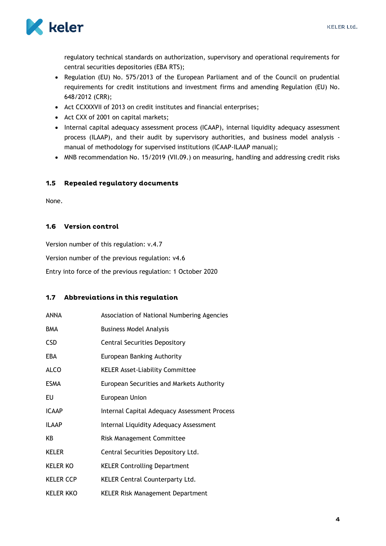

regulatory technical standards on authorization, supervisory and operational requirements for central securities depositories (EBA RTS);

- Regulation (EU) No. 575/2013 of the European Parliament and of the Council on prudential requirements for credit institutions and investment firms and amending Regulation (EU) No. 648/2012 (CRR);
- Act CCXXXVII of 2013 on credit institutes and financial enterprises;
- Act CXX of 2001 on capital markets;
- Internal capital adequacy assessment process (ICAAP), internal liquidity adequacy assessment process (ILAAP), and their audit by supervisory authorities, and business model analysis manual of methodology for supervised institutions (ICAAP-ILAAP manual);
- MNB recommendation No. 15/2019 (VII.09.) on measuring, handling and addressing credit risks

#### <span id="page-4-0"></span> $1.5$ **Repealed regulatory documents**

None.

### <span id="page-4-1"></span>1.6 Version control

Version number of this regulation: v.4.7

Version number of the previous regulation: v4.6

Entry into force of the previous regulation: 1 October 2020

### <span id="page-4-2"></span>1.7 Abbreviations in this regulation

| <b>ANNA</b>      | Association of National Numbering Agencies   |
|------------------|----------------------------------------------|
| <b>BMA</b>       | <b>Business Model Analysis</b>               |
| <b>CSD</b>       | <b>Central Securities Depository</b>         |
| EBA              | European Banking Authority                   |
| <b>ALCO</b>      | <b>KELER Asset-Liability Committee</b>       |
| <b>ESMA</b>      | European Securities and Markets Authority    |
| EU               | European Union                               |
| <b>ICAAP</b>     | Internal Capital Adequacy Assessment Process |
| <b>ILAAP</b>     | Internal Liquidity Adequacy Assessment       |
| KB               | <b>Risk Management Committee</b>             |
| <b>KELER</b>     | Central Securities Depository Ltd.           |
| <b>KELER KO</b>  | <b>KELER Controlling Department</b>          |
| <b>KELER CCP</b> | <b>KELER Central Counterparty Ltd.</b>       |
| <b>KELER KKO</b> | <b>KELER Risk Management Department</b>      |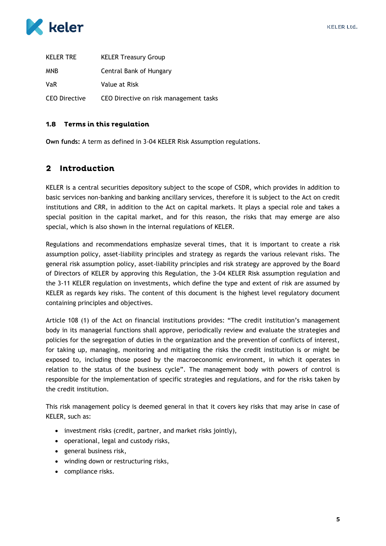

| <b>KELER TRE</b> | <b>KELER Treasury Group</b>            |
|------------------|----------------------------------------|
| <b>MNB</b>       | Central Bank of Hungary                |
| <b>VaR</b>       | Value at Risk                          |
| CEO Directive    | CEO Directive on risk management tasks |

### <span id="page-5-0"></span>1.8 Terms in this regulation

**Own funds:** A term as defined in 3-04 KELER Risk Assumption regulations.

#### <span id="page-5-1"></span> $\overline{2}$ **Introduction**

KELER is a central securities depository subject to the scope of CSDR, which provides in addition to basic services non-banking and banking ancillary services, therefore it is subject to the Act on credit institutions and CRR, in addition to the Act on capital markets. It plays a special role and takes a special position in the capital market, and for this reason, the risks that may emerge are also special, which is also shown in the internal regulations of KELER.

Regulations and recommendations emphasize several times, that it is important to create a risk assumption policy, asset-liability principles and strategy as regards the various relevant risks. The general risk assumption policy, asset-liability principles and risk strategy are approved by the Board of Directors of KELER by approving this Regulation, the 3-04 KELER Risk assumption regulation and the 3-11 KELER regulation on investments, which define the type and extent of risk are assumed by KELER as regards key risks. The content of this document is the highest level regulatory document containing principles and objectives.

Article 108 (1) of the Act on financial institutions provides: "The credit institution's management body in its managerial functions shall approve, periodically review and evaluate the strategies and policies for the segregation of duties in the organization and the prevention of conflicts of interest, for taking up, managing, monitoring and mitigating the risks the credit institution is or might be exposed to, including those posed by the macroeconomic environment, in which it operates in relation to the status of the business cycle". The management body with powers of control is responsible for the implementation of specific strategies and regulations, and for the risks taken by the credit institution.

This risk management policy is deemed general in that it covers key risks that may arise in case of KELER, such as:

- investment risks (credit, partner, and market risks jointly),
- operational, legal and custody risks,
- general business risk,
- winding down or restructuring risks,
- compliance risks.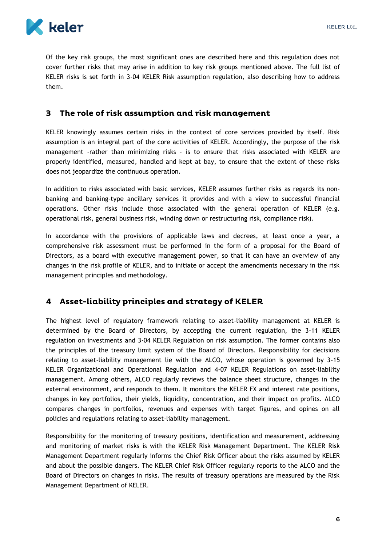

Of the key risk groups, the most significant ones are described here and this regulation does not cover further risks that may arise in addition to key risk groups mentioned above. The full list of KELER risks is set forth in 3-04 KELER Risk assumption regulation, also describing how to address them.

#### <span id="page-6-0"></span>The role of risk assumption and risk management  $\mathbf{B}$

KELER knowingly assumes certain risks in the context of core services provided by itself. Risk assumption is an integral part of the core activities of KELER. Accordingly, the purpose of the risk management -rather than minimizing risks - is to ensure that risks associated with KELER are properly identified, measured, handled and kept at bay, to ensure that the extent of these risks does not jeopardize the continuous operation.

In addition to risks associated with basic services, KELER assumes further risks as regards its nonbanking and banking-type ancillary services it provides and with a view to successful financial operations. Other risks include those associated with the general operation of KELER (e.g. operational risk, general business risk, winding down or restructuring risk, compliance risk).

In accordance with the provisions of applicable laws and decrees, at least once a year, a comprehensive risk assessment must be performed in the form of a proposal for the Board of Directors, as a board with executive management power, so that it can have an overview of any changes in the risk profile of KELER, and to initiate or accept the amendments necessary in the risk management principles and methodology.

# <span id="page-6-1"></span>4 Asset-liability principles and strategy of KELER

The highest level of regulatory framework relating to asset-liability management at KELER is determined by the Board of Directors, by accepting the current regulation, the 3-11 KELER regulation on investments and 3-04 KELER Regulation on risk assumption. The former contains also the principles of the treasury limit system of the Board of Directors. Responsibility for decisions relating to asset-liability management lie with the ALCO, whose operation is governed by 3-15 KELER Organizational and Operational Regulation and 4-07 KELER Regulations on asset-liability management. Among others, ALCO regularly reviews the balance sheet structure, changes in the external environment, and responds to them. It monitors the KELER FX and interest rate positions, changes in key portfolios, their yields, liquidity, concentration, and their impact on profits. ALCO compares changes in portfolios, revenues and expenses with target figures, and opines on all policies and regulations relating to asset-liability management.

Responsibility for the monitoring of treasury positions, identification and measurement, addressing and monitoring of market risks is with the KELER Risk Management Department. The KELER Risk Management Department regularly informs the Chief Risk Officer about the risks assumed by KELER and about the possible dangers. The KELER Chief Risk Officer regularly reports to the ALCO and the Board of Directors on changes in risks. The results of treasury operations are measured by the Risk Management Department of KELER.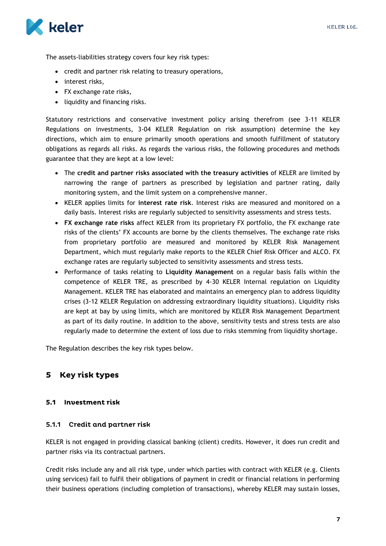

The assets-liabilities strategy covers four key risk types:

- credit and partner risk relating to treasury operations,
- interest risks,
- FX exchange rate risks,
- liquidity and financing risks.

Statutory restrictions and conservative investment policy arising therefrom (see 3-11 KELER Regulations on investments, 3-04 KELER Regulation on risk assumption) determine the key directions, which aim to ensure primarily smooth operations and smooth fulfillment of statutory obligations as regards all risks. As regards the various risks, the following procedures and methods guarantee that they are kept at a low level:

- The **credit and partner risks associated with the treasury activities** of KELER are limited by narrowing the range of partners as prescribed by legislation and partner rating, daily monitoring system, and the limit system on a comprehensive manner.
- KELER applies limits for **interest rate risk**. Interest risks are measured and monitored on a daily basis. Interest risks are regularly subjected to sensitivity assessments and stress tests.
- **FX exchange rate risks** affect KELER from its proprietary FX portfolio, the FX exchange rate risks of the clients' FX accounts are borne by the clients themselves. The exchange rate risks from proprietary portfolio are measured and monitored by KELER Risk Management Department, which must regularly make reports to the KELER Chief Risk Officer and ALCO. FX exchange rates are regularly subjected to sensitivity assessments and stress tests.
- Performance of tasks relating to **Liquidity Management** on a regular basis falls within the competence of KELER TRE, as prescribed by 4-30 KELER Internal regulation on Liquidity Management. KELER TRE has elaborated and maintains an emergency plan to address liquidity crises (3-12 KELER Regulation on addressing extraordinary liquidity situations). Liquidity risks are kept at bay by using limits, which are monitored by KELER Risk Management Department as part of its daily routine. In addition to the above, sensitivity tests and stress tests are also regularly made to determine the extent of loss due to risks stemming from liquidity shortage.

The Regulation describes the key risk types below.

# <span id="page-7-0"></span>5 Key risk types

### <span id="page-7-1"></span>5.1 Investment risk

#### <span id="page-7-2"></span>5.1.1 Credit and partner risk

KELER is not engaged in providing classical banking (client) credits. However, it does run credit and partner risks via its contractual partners.

Credit risks include any and all risk type, under which parties with contract with KELER (e.g. Clients using services) fail to fulfil their obligations of payment in credit or financial relations in performing their business operations (including completion of transactions), whereby KELER may sustain losses,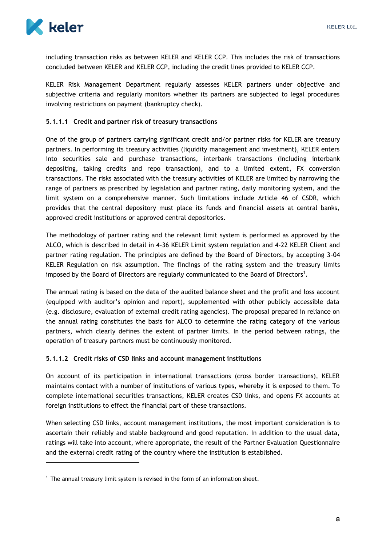

1

including transaction risks as between KELER and KELER CCP. This includes the risk of transactions concluded between KELER and KELER CCP, including the credit lines provided to KELER CCP.

KELER Risk Management Department regularly assesses KELER partners under objective and subjective criteria and regularly monitors whether its partners are subjected to legal procedures involving restrictions on payment (bankruptcy check).

### <span id="page-8-0"></span>**5.1.1.1 Credit and partner risk of treasury transactions**

One of the group of partners carrying significant credit and/or partner risks for KELER are treasury partners. In performing its treasury activities (liquidity management and investment), KELER enters into securities sale and purchase transactions, interbank transactions (including interbank depositing, taking credits and repo transaction), and to a limited extent, FX conversion transactions. The risks associated with the treasury activities of KELER are limited by narrowing the range of partners as prescribed by legislation and partner rating, daily monitoring system, and the limit system on a comprehensive manner. Such limitations include Article 46 of CSDR, which provides that the central depository must place its funds and financial assets at central banks, approved credit institutions or approved central depositories.

The methodology of partner rating and the relevant limit system is performed as approved by the ALCO, which is described in detail in 4-36 KELER Limit system regulation and 4-22 KELER Client and partner rating regulation. The principles are defined by the Board of Directors, by accepting 3-04 KELER Regulation on risk assumption. The findings of the rating system and the treasury limits imposed by the Board of Directors are regularly communicated to the Board of Directors<sup>1</sup>.

The annual rating is based on the data of the audited balance sheet and the profit and loss account (equipped with auditor's opinion and report), supplemented with other publicly accessible data (e.g. disclosure, evaluation of external credit rating agencies). The proposal prepared in reliance on the annual rating constitutes the basis for ALCO to determine the rating category of the various partners, which clearly defines the extent of partner limits. In the period between ratings, the operation of treasury partners must be continuously monitored.

#### <span id="page-8-1"></span>**5.1.1.2 Credit risks of CSD links and account management institutions**

On account of its participation in international transactions (cross border transactions), KELER maintains contact with a number of institutions of various types, whereby it is exposed to them. To complete international securities transactions, KELER creates CSD links, and opens FX accounts at foreign institutions to effect the financial part of these transactions.

When selecting CSD links, account management institutions, the most important consideration is to ascertain their reliably and stable background and good reputation. In addition to the usual data, ratings will take into account, where appropriate, the result of the Partner Evaluation Questionnaire and the external credit rating of the country where the institution is established.

 $<sup>1</sup>$  The annual treasury limit system is revised in the form of an information sheet.</sup>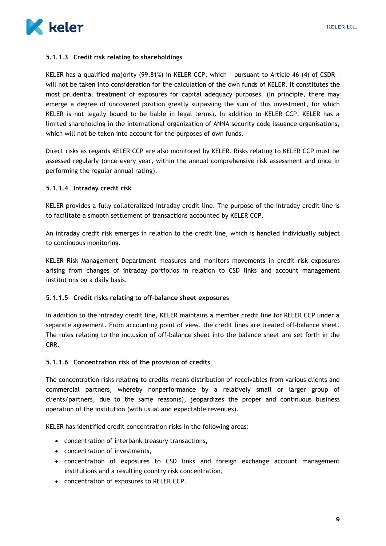

#### <span id="page-9-0"></span>**5.1.1.3 Credit risk relating to shareholdings**

KELER has a qualified majority (99.81%) in KELER CCP, which - pursuant to Article 46 (4) of CSDR will not be taken into consideration for the calculation of the own funds of KELER. It constitutes the most prudential treatment of exposures for capital adequacy purposes. (In principle, there may emerge a degree of uncovered position greatly surpassing the sum of this investment, for which KELER is not legally bound to be liable in legal terms). In addition to KELER CCP, KELER has a limited shareholding in the international organization of ANNA security code issuance organisations, which will not be taken into account for the purposes of own funds.

Direct risks as regards KELER CCP are also monitored by KELER. Risks relating to KELER CCP must be assessed regularly (once every year, within the annual comprehensive risk assessment and once in performing the regular annual rating).

#### <span id="page-9-1"></span>**5.1.1.4 Intraday credit risk**

KELER provides a fully collateralized intraday credit line. The purpose of the intraday credit line is to facilitate a smooth settlement of transactions accounted by KELER CCP.

An intraday credit risk emerges in relation to the credit line, which is handled individually subject to continuous monitoring.

KELER Risk Management Department measures and monitors movements in credit risk exposures arising from changes of intraday portfolios in relation to CSD links and account management institutions on a daily basis.

#### <span id="page-9-2"></span>**5.1.1.5 Credit risks relating to off-balance sheet exposures**

In addition to the intraday credit line, KELER maintains a member credit line for KELER CCP under a separate agreement. From accounting point of view, the credit lines are treated off-balance sheet. The rules relating to the inclusion of off-balance sheet into the balance sheet are set forth in the CRR.

#### <span id="page-9-3"></span>**5.1.1.6 Concentration risk of the provision of credits**

The concentration risks relating to credits means distribution of receivables from various clients and commercial partners, whereby nonperformance by a relatively small or larger group of clients/partners, due to the same reason(s), jeopardizes the proper and continuous business operation of the institution (with usual and expectable revenues).

KELER has identified credit concentration risks in the following areas:

- concentration of interbank treasury transactions,
- concentration of investments,
- concentration of exposures to CSD links and foreign exchange account management institutions and a resulting country risk concentration,
- concentration of exposures to KELER CCP.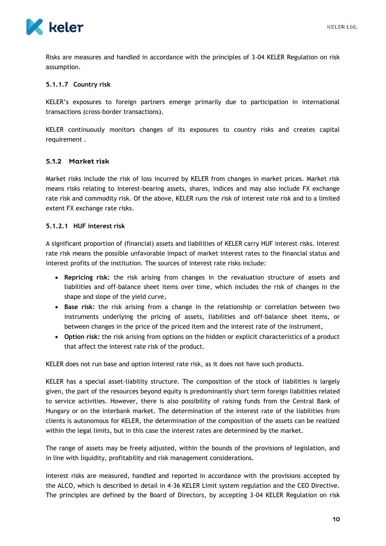

Risks are measures and handled in accordance with the principles of 3-04 KELER Regulation on risk assumption.

### <span id="page-10-0"></span>**5.1.1.7 Country risk**

KELER's exposures to foreign partners emerge primarily due to participation in international transactions (cross-border transactions).

KELER continuously monitors changes of its exposures to country risks and creates capital requirement.

### <span id="page-10-1"></span>5.1.2 Market risk

Market risks include the risk of loss incurred by KELER from changes in market prices. Market risk means risks relating to interest-bearing assets, shares, indices and may also include FX exchange rate risk and commodity risk. Of the above, KELER runs the risk of interest rate risk and to a limited extent FX exchange rate risks.

#### <span id="page-10-2"></span>**5.1.2.1 HUF interest risk**

A significant proportion of (financial) assets and liabilities of KELER carry HUF interest risks. Interest rate risk means the possible unfavorable impact of market interest rates to the financial status and interest profits of the institution. The sources of interest rate risks include:

- **Repricing risk:** the risk arising from changes in the revaluation structure of assets and liabilities and off-balance sheet items over time, which includes the risk of changes in the shape and slope of the yield curve,
- **Base risk:** the risk arising from a change in the relationship or correlation between two instruments underlying the pricing of assets, liabilities and off-balance sheet items, or between changes in the price of the priced item and the interest rate of the instrument,
- **Option risk:** the risk arising from options on the hidden or explicit characteristics of a product that affect the interest rate risk of the product.

KELER does not run base and option interest rate risk, as it does not have such products.

KELER has a special asset-liability structure. The composition of the stock of liabilities is largely given, the part of the resources beyond equity is predominantly short term foreign liabilities related to service activities. However, there is also possibility of raising funds from the Central Bank of Hungary or on the interbank market. The determination of the interest rate of the liabilities from clients is autonomous for KELER, the determination of the composition of the assets can be realized within the legal limits, but in this case the interest rates are determined by the market.

The range of assets may be freely adjusted, within the bounds of the provisions of legislation, and in line with liquidity, profitability and risk management considerations.

Interest risks are measured, handled and reported in accordance with the provisions accepted by the ALCO, which is described in detail in 4-36 KELER Limit system regulation and the CEO Directive. The principles are defined by the Board of Directors, by accepting 3-04 KELER Regulation on risk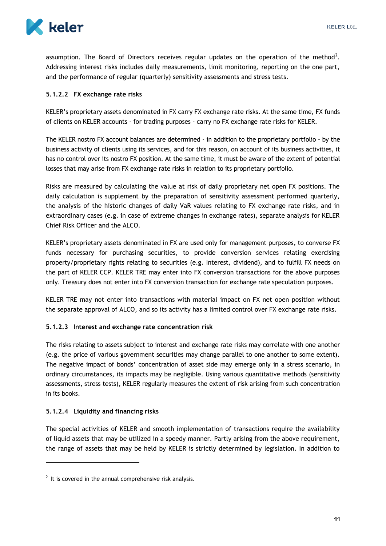

assumption. The Board of Directors receives regular updates on the operation of the method<sup>2</sup>. Addressing interest risks includes daily measurements, limit monitoring, reporting on the one part, and the performance of regular (quarterly) sensitivity assessments and stress tests.

### <span id="page-11-0"></span>**5.1.2.2 FX exchange rate risks**

KELER's proprietary assets denominated in FX carry FX exchange rate risks. At the same time, FX funds of clients on KELER accounts - for trading purposes - carry no FX exchange rate risks for KELER.

The KELER nostro FX account balances are determined - in addition to the proprietary portfolio - by the business activity of clients using its services, and for this reason, on account of its business activities, it has no control over its nostro FX position. At the same time, it must be aware of the extent of potential losses that may arise from FX exchange rate risks in relation to its proprietary portfolio.

Risks are measured by calculating the value at risk of daily proprietary net open FX positions. The daily calculation is supplement by the preparation of sensitivity assessment performed quarterly, the analysis of the historic changes of daily VaR values relating to FX exchange rate risks, and in extraordinary cases (e.g. in case of extreme changes in exchange rates), separate analysis for KELER Chief Risk Officer and the ALCO.

KELER's proprietary assets denominated in FX are used only for management purposes, to converse FX funds necessary for purchasing securities, to provide conversion services relating exercising property/proprietary rights relating to securities (e.g. Interest, dividend), and to fulfill FX needs on the part of KELER CCP. KELER TRE may enter into FX conversion transactions for the above purposes only. Treasury does not enter into FX conversion transaction for exchange rate speculation purposes.

KELER TRE may not enter into transactions with material impact on FX net open position without the separate approval of ALCO, and so its activity has a limited control over FX exchange rate risks.

#### <span id="page-11-1"></span>**5.1.2.3 Interest and exchange rate concentration risk**

The risks relating to assets subject to interest and exchange rate risks may correlate with one another (e.g. the price of various government securities may change parallel to one another to some extent). The negative impact of bonds' concentration of asset side may emerge only in a stress scenario, in ordinary circumstances, its impacts may be negligible. Using various quantitative methods (sensitivity assessments, stress tests), KELER regularly measures the extent of risk arising from such concentration in its books.

#### <span id="page-11-2"></span>**5.1.2.4 Liquidity and financing risks**

1

The special activities of KELER and smooth implementation of transactions require the availability of liquid assets that may be utilized in a speedy manner. Partly arising from the above requirement, the range of assets that may be held by KELER is strictly determined by legislation. In addition to

 $2$  It is covered in the annual comprehensive risk analysis.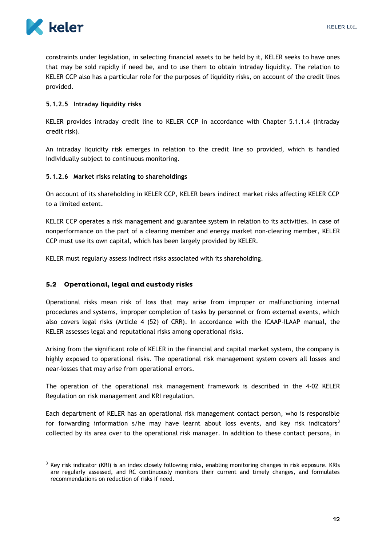

 $\overline{a}$ 

constraints under legislation, in selecting financial assets to be held by it, KELER seeks to have ones that may be sold rapidly if need be, and to use them to obtain intraday liquidity. The relation to KELER CCP also has a particular role for the purposes of liquidity risks, on account of the credit lines provided.

#### <span id="page-12-0"></span>**5.1.2.5 Intraday liquidity risks**

KELER provides intraday credit line to KELER CCP in accordance with Chapter 5.1.1.4 (Intraday credit risk).

An intraday liquidity risk emerges in relation to the credit line so provided, which is handled individually subject to continuous monitoring.

#### <span id="page-12-1"></span>**5.1.2.6 Market risks relating to shareholdings**

On account of its shareholding in KELER CCP, KELER bears indirect market risks affecting KELER CCP to a limited extent.

KELER CCP operates a risk management and guarantee system in relation to its activities. In case of nonperformance on the part of a clearing member and energy market non-clearing member, KELER CCP must use its own capital, which has been largely provided by KELER.

KELER must regularly assess indirect risks associated with its shareholding.

#### <span id="page-12-2"></span>5.2 Operational, legal and custody risks

Operational risks mean risk of loss that may arise from improper or malfunctioning internal procedures and systems, improper completion of tasks by personnel or from external events, which also covers legal risks (Article 4 (52) of CRR). In accordance with the ICAAP-ILAAP manual, the KELER assesses legal and reputational risks among operational risks.

Arising from the significant role of KELER in the financial and capital market system, the company is highly exposed to operational risks. The operational risk management system covers all losses and near-losses that may arise from operational errors.

The operation of the operational risk management framework is described in the 4-02 KELER Regulation on risk management and KRI regulation.

Each department of KELER has an operational risk management contact person, who is responsible for forwarding information s/he may have learnt about loss events, and key risk indicators<sup>3</sup> collected by its area over to the operational risk manager. In addition to these contact persons, in

<sup>&</sup>lt;sup>3</sup> Key risk indicator (KRI) is an index closely following risks, enabling monitoring changes in risk exposure. KRIs are regularly assessed, and RC continuously monitors their current and timely changes, and formulates recommendations on reduction of risks if need.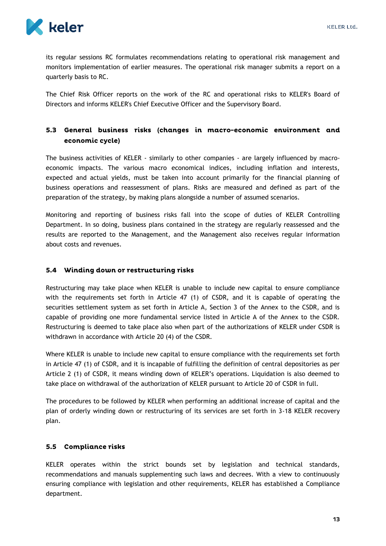

its regular sessions RC formulates recommendations relating to operational risk management and monitors implementation of earlier measures. The operational risk manager submits a report on a quarterly basis to RC.

The Chief Risk Officer reports on the work of the RC and operational risks to KELER's Board of Directors and informs KELER's Chief Executive Officer and the Supervisory Board.

## <span id="page-13-0"></span>5.3 General business risks (changes in macro-economic environment and economic cycle)

The business activities of KELER - similarly to other companies - are largely influenced by macroeconomic impacts. The various macro economical indices, including inflation and interests, expected and actual yields, must be taken into account primarily for the financial planning of business operations and reassessment of plans. Risks are measured and defined as part of the preparation of the strategy, by making plans alongside a number of assumed scenarios.

Monitoring and reporting of business risks fall into the scope of duties of KELER Controlling Department. In so doing, business plans contained in the strategy are regularly reassessed and the results are reported to the Management, and the Management also receives regular information about costs and revenues.

### <span id="page-13-1"></span>5.4 Winding down or restructuring risks

Restructuring may take place when KELER is unable to include new capital to ensure compliance with the requirements set forth in Article 47 (1) of CSDR, and it is capable of operating the securities settlement system as set forth in Article A, Section 3 of the Annex to the CSDR, and is capable of providing one more fundamental service listed in Article A of the Annex to the CSDR. Restructuring is deemed to take place also when part of the authorizations of KELER under CSDR is withdrawn in accordance with Article 20 (4) of the CSDR.

Where KELER is unable to include new capital to ensure compliance with the requirements set forth in Article 47 (1) of CSDR, and it is incapable of fulfilling the definition of central depositories as per Article 2 (1) of CSDR, it means winding down of KELER's operations. Liquidation is also deemed to take place on withdrawal of the authorization of KELER pursuant to Article 20 of CSDR in full.

The procedures to be followed by KELER when performing an additional increase of capital and the plan of orderly winding down or restructuring of its services are set forth in 3-18 KELER recovery plan.

### <span id="page-13-2"></span>5.5 Compliance risks

KELER operates within the strict bounds set by legislation and technical standards, recommendations and manuals supplementing such laws and decrees. With a view to continuously ensuring compliance with legislation and other requirements, KELER has established a Compliance department.